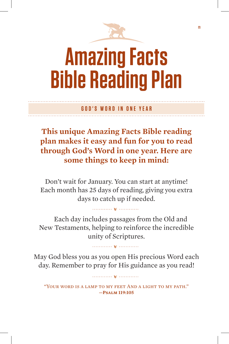

m

# **Amazing Facts Bible Reading Plan**

**GOD'S WORD IN ONE YEAR**

**This unique Amazing Facts Bible reading plan makes it easy and fun for you to read through God's Word in one year. Here are some things to keep in mind:**

Don't wait for January. You can start at anytime! Each month has 25 days of reading, giving you extra days to catch up if needed.

Each day includes passages from the Old and New Testaments, helping to reinforce the incredible unity of Scriptures.

May God bless you as you open His precious Word each day. Remember to pray for His guidance as you read!

"Your word is a lamp to my feet And a light to my path." **—Psalm 119:105**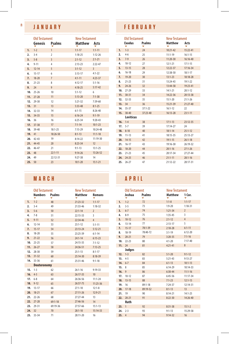### **JANUARY**

|     | <b>Old Testament</b> |                | <b>New Testament</b> |                |
|-----|----------------------|----------------|----------------------|----------------|
|     | Genesis              | <b>Psalms</b>  | <b>Matthew Acts</b>  |                |
| 1.  | $1 - 2$              | $\mathbf{1}$   | $1:1 - 17$           | $1:1 - 11$     |
| 2.  | $3 - 4$              | $\overline{2}$ | $1:18-25$            | $1:12-26$      |
| 3.  | $5 - 8$              | $\overline{3}$ | $2:1-12$             | $2:1 - 21$     |
| 4.  | $9 - 11$             | 4              | $2:13-23$            | $2:22 - 47$    |
| 5.  | $12 - 14$            | 5              | $3:1-12$             | $\overline{3}$ |
| 6.  | $15 - 17$            | 6              | $3:13-17$            | $4:1 - 22$     |
| 7.  | $18 - 20$            | $\overline{7}$ | $4:1 - 11$           | $4:23-37$      |
| 8.  | $21 - 23$            | 8              | $4:12 - 17$          | $5:1 - 16$     |
| 9.  | 24                   | $\overline{9}$ | $4:18-25$            | $5:17-42$      |
| 10. | $25 - 26$            | 10             | $5:1 - 12$           | 6              |
| 11. | $27 - 28$            | 11             | $5:13 - 20$          | $7:1-38$       |
|     | 12. 29-30            | 12             | $5:21-32$            | $7:39-60$      |
| 13. | 31                   | 13             | $5:33 - 48$          | $8:1 - 25$     |
| 14. | $32 - 33$            | 14             | $6:1 - 15$           | $8:26 - 40$    |
| 15. | 34-35                | 15             | $6:16 - 24$          | $9:1 - 19$     |
| 16. | 36                   | 16             | $6:25 - 34$          | $9:20 - 43$    |
| 17. | $37 - 38$            | 17             | $7:1 - 14$           | $10:1-23$      |
| 18. | 39-40                | $18:1 - 25$    | $7:15-29$            | 10:24-48       |
| 19. | 41                   | 18:26-50       | $8:1 - 13$           | $11:1 - 18$    |
| 20. | $42 - 43$            | 19             | $8:14-22$            | 11:19-30       |
| 21. | 44-45                | 20             | $8:23-34$            | 12             |
| 22. | $46 - 47$            | 21             | $9:1 - 13$           | $13:1 - 25$    |
| 23. | 48                   | $22:1 - 11$    | $9:14-26$            | $13:26 - 52$   |
| 24. | 49                   | 22:12-31       | $9:27 - 38$          | 14             |
| 25. | 50                   | 23             | $10:1 - 20$          | $15:1 - 21$    |

### **MARCH APRIL**

|            | <b>Old Testament</b><br><b>Numbers</b> | <b>Psalms</b> | <b>New Testament</b><br><b>Matthew</b> | <b>Romans</b>   |     |      | <b>Old Testament</b><br>Joshua | Psalms      | <b>New Testament</b><br><b>Matthew</b> | 1 Cor.         |
|------------|----------------------------------------|---------------|----------------------------------------|-----------------|-----|------|--------------------------------|-------------|----------------------------------------|----------------|
| 1.         | $1 - 2$                                | 48            | $21:23-32$                             | $1:1 - 17$      | 1.  |      | $1 - 2$                        | 72          | $1:1-8$                                | $1:1 - 17$     |
| 2.         | $3 - 4$                                | 49            | 21:33-46                               | $1:18-32$       | 2.  |      | $3 - 5$                        | 73          | $1:9-20$                               | $1:18-3$       |
| 3.         | $5 - 6$                                | 50            | $22:1 - 14$                            | $\overline{2}$  | 3.  |      | $6 - 7$                        | 74          | $1:21-34$                              | $\overline{2}$ |
| 4.         | $7 - 8$                                | 51            | 22:15-33                               | 3               | 4.  |      | $8 - 9$                        | 75          | $1:35-45$                              | $\overline{3}$ |
| 5.         | $9 - 11$                               | 52            | 22:34-46                               | $\overline{4}$  | 5.  |      | $10 - 12$                      | 76          | $2:1-12$                               | 4              |
| 6.         | $12 - 14$                              | 53            | $23:1 - 12$                            | $5:1 - 11$      | 6.  |      | $13 - 14$                      | 77          | $2:13-17$                              | 5              |
| 7.         | $15 - 17$                              | 54            | $23:13-24$                             | $5:12 - 21$     | 7.  |      | $15 - 17$                      | 78:1-39     | $2:18-28$                              | $6:1 - 11$     |
| 8.         | $18 - 20$                              | 55            | 23:25-39                               | $6:1 - 14$      | 8.  |      | $18 - 19$                      | 78:40-72    | $3:1 - 19$                             | $6:12 - 20$    |
| 9.         | $21 - 22$                              | 56            | $24:1 - 14$                            | $6:15-23$       | 9.  |      | $20 - 21$                      | 79          | $3:20-35$                              | $7:1 - 16$     |
| 10.        | $23 - 25$                              | 57            | 24:15-35                               | $7:1-12$        | 10. |      | $22 - 23$                      | 80          | $4:1 - 20$                             | $7:17 - 40$    |
| 11.        | $26 - 27$                              | 58            | 24:36-51                               | $7:13-25$       |     |      | 11.24                          | 81          | $4:21 - 41$                            | 8              |
| 12.        | $28 - 30$                              | 59            | $25:1-13$                              | $8:1 - 17$      |     |      | Judges                         |             |                                        |                |
|            | $13.31-32$                             | 60            | 25:14-30                               | $8:18-39$       |     |      | $12. 1-3$                      | 82          | $5:1 - 20$                             | $9:1 - 12$     |
|            | 14. 33-36                              | 61            | 25:31-46                               | $9:1 - 18$      | 13. |      | $4 - 5$                        | 83          | $5:21 - 43$                            | $9:13-2$       |
|            | <b>Deuteronomy</b>                     |               |                                        |                 |     |      | 14. 6-7                        | 84          | $6:1-13$                               | $10:1-1$       |
| $15. 1-3$  |                                        | 62            | $26:1 - 16$                            | $9:19-33$       |     | 15.8 |                                | 85          | $6:14-29$                              | $10:14-3$      |
| 16. $4-5$  |                                        | 63            | 26:17-35                               | 10 <sup>°</sup> |     | 16.9 |                                | 86          | $6:30-44$                              | $11:1 - 16$    |
| $17.6 - 8$ |                                        | 64            | 26:36-56                               | $11:1 - 24$     |     |      | 17. 10-12                      | 87          | $6:45-56$                              | $11:17-$       |
|            |                                        |               |                                        |                 |     |      | 18. 13-15                      | 88          | $7:1-23$                               | $12:1-1$       |
|            | $18. 9-12$                             | 65            | 26:57-75                               | $11:25 - 36$    | 19. |      | 16                             | $89:1 - 18$ | $7:24-37$                              | $12:14-3$      |
|            | 19. 13-17                              | 66            | $27:1 - 10$                            | $12:1-8$        |     |      | 20. 17-18                      | 89:19-52    | $8:1-13$                               | 13             |
|            | 20. 18-21                              | 67            | 27:11-26                               | $12:9 - 21$     | 21. |      | 19                             | 90          | $8:14-21$                              | $14:1 - 2!$    |
|            | $21.22 - 26$                           | 68            | $27:27 - 44$                           | 13              |     |      | 22. 20-21                      | 91          | $8:22 - 30$                            | $14:26-4$      |
|            | 22. 27-28                              | $69:1 - 18$   | 27:46-56                               | 14              |     |      | Ruth                           |             |                                        |                |
| 23.        | 29-31                                  | 69:19-36      | 27:57-66                               | $15:1-13$       |     | 23.1 |                                | 92          | $8:31-38$                              | $15:1-2$       |
| 24. 32     |                                        | 70            | $28:1 - 10$                            | $15:14-33$      | 24. |      | $2 - 3$                        | 93          | $9:1 - 13$                             | $15:29-$       |
|            | 25. 33-34                              | 71            | 28:11-20                               | 16              |     | 25.4 |                                | 94          | $9:14-32$                              | 16             |

### **FEBRUARY**

|     | Old Testament |             | <b>New Testament</b> |              |
|-----|---------------|-------------|----------------------|--------------|
|     | <b>Exodus</b> | Psalms      | <b>Matthew</b>       | Acts         |
| 1.  | $1 - 3$       | 24          | $10:21-42$           | 15:22-41     |
| 2.  | $4 - 6$       | 25          | $11:1-19$            | $16:1 - 15$  |
| 3.  | $7 - 9$       | 26          | $11:20-30$           | $16:16 - 40$ |
| 4.  | $10 - 12$     | 27          | $12:1 - 21$          | $17:1 - 15$  |
| 5.  | $13 - 15$     | 28          | $12:22 - 37$         | $17:16-34$   |
| 6.  | $16 - 18$     | 29          | 12:38-50             | $18:1 - 17$  |
| 7.  | $19 - 20$     | 30          | $13:1-23$            | 18:18-28     |
| 8.  | $21 - 23$     | 31          | 13:24-43             | $19:1 - 22$  |
| 9.  | $24 - 26$     | 32          | $13:44-58$           | $19:23-41$   |
| 10. | $27 - 29$     | 33          | $14:1 - 21$          | $20:1 - 12$  |
| 11. | $30 - 31$     | 34          | 14:22-36             | $20:13-38$   |
| 12. | $32 - 33$     | 35          | $15:1 - 20$          | $21:1 - 26$  |
|     | 13.34         | 36          | 15:21-39             | $21:27-40$   |
|     | 14. 35-37     | $37:1 - 22$ | $16:1 - 12$          | 22           |
|     | 15. 38-40     | 37:23-40    | $16:13-28$           | $23:1 - 11$  |
|     | Leviticus     |             |                      |              |
| 16. | $1 - 4$       | 38          | $17:1 - 13$          | $23:12-35$   |
|     | $17.5 - 7$    | 39          | $17:14-27$           | 24           |
| 18. | $8 - 10$      | 40          | $18:1 - 14$          | $25:1 - 12$  |
| 19. | $11 - 13$     | 41          | 18:15-35             | $25:13-27$   |
| 20. | $14 - 15$     | 42          | $19:1 - 15$          | $26:1 - 18$  |
| 21. | $16 - 17$     | 43          | 19:16-30             | 26:19-32     |
|     | 22. 18-20     | 44          | $20:1 - 16$          | $27:1 - 26$  |
| 23. | $21 - 23$     | 45          | 20:17-34             | $27:27-44$   |
| 24. | $24 - 25$     | 46          | $21:1 - 11$          | $28:1 - 16$  |
| 25. | $26 - 27$     | 47          | $21:12-22$           | 28:17-31     |

|     | <b>Old Testament</b><br>Joshua | Psalms      | <b>New Testament</b><br>Matthew | 1 Cor.         |
|-----|--------------------------------|-------------|---------------------------------|----------------|
| 1.  | $1 - 2$                        | 72          | $1:1-8$                         | $1:1 - 17$     |
| 2.  | $3 - 5$                        | 73          | $1:9 - 20$                      | $1:18-31$      |
| 3.  | $6 - 7$                        | 74          | $1:21-34$                       | $\overline{2}$ |
| 4.  | $8 - 9$                        | 75          | $1:35-45$                       | 3              |
| 5.  | $10 - 12$                      | 76          | $2:1-12$                        | $\overline{4}$ |
| 6.  | $13 - 14$                      | 77          | $2:13-17$                       | 5              |
| 7.  | $15 - 17$                      | $78:1 - 39$ | $2:18-28$                       | $6:1 - 11$     |
| 8.  | 18-19                          | 78:40-72    | $3:1-19$                        | $6:12 - 20$    |
| 9.  | $20 - 21$                      | 79          | $3:20-35$                       | $7:1 - 16$     |
| 10. | $22 - 23$                      | 80          | $4:1 - 20$                      | $7:17 - 40$    |
| 11. | 24                             | 81          | $4:21 - 41$                     | 8              |
|     | Judges                         |             |                                 |                |
| 12. | $1 - 3$                        | 82          | $5:1 - 20$                      | $9:1 - 12$     |
|     | $13.4 - 5$                     | 83          | $5:21-43$                       | $9:13-27$      |
| 14. | $6 - 7$                        | 84          | $6:1 - 13$                      | $10:1-13$      |
| 15. | 8                              | 85          | $6:14-29$                       | 10:14-33       |
| 16. | $\mathbf{q}$                   | 86          | $6:30-44$                       | $11:1 - 16$    |
| 17. | $10 - 12$                      | 87          | $6:45-56$                       | $11:17-34$     |
| 18. | $13 - 15$                      | 88          | $7:1-23$                        | $12:1 - 13$    |
| 19. | 16                             | $89:1 - 18$ | $7:24-37$                       | 12:14-31       |
| 20. | $17-18$                        | 89:19-52    | $8:1-13$                        | 13             |
| 21. | 19                             | 90          | $8:14-21$                       | $14:1 - 25$    |
| 22. | $20 - 21$                      | 91          | $8:22 - 30$                     | 14:26-40       |
|     | Ruth                           |             |                                 |                |
| 23. | $\mathbf{1}$                   | 92          | $8:31-38$                       | $15:1-2$       |
| 24. | $2 - 3$                        | 93          | $9:1 - 13$                      | 15:29-58       |
| 25. | $\overline{4}$                 | 94          | $9:14-32$                       | 16             |
|     |                                |             |                                 |                |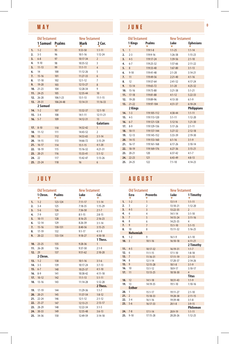### **MAY**

|     | <b>Old Testament</b> |           | <b>New Testament</b> |                          |
|-----|----------------------|-----------|----------------------|--------------------------|
|     | 1 Samuel Psalms      |           | Mark                 | 2 Cor.                   |
| 1.  | $1 - 2$              | 95        | $9:33-50$            | $1:1-11$                 |
| 2.  | $3 - 5$              | 96        | $10:1 - 16$          | $1:12 - 24$              |
| 3.  | $6 - 8$              | 97        | $10:17 - 34$         | $\overline{2}$           |
| 4.  | $9 - 10$             | 98        | 10:35-52             | 3                        |
| 5.  | $11 - 13$            | 99        | $11:1 - 11$          | $\overline{4}$           |
| 6.  | 14                   | 100       | $11:12-26$           | 5                        |
| 7.  | $15 - 16$            | 101       | $11:27-33$           | 6                        |
| 8.  | $17 - 18$            | 102       | $12:1 - 12$          | $\overline{7}$           |
| 9.  | $19 - 20$            | 103       | $12:13-27$           | 8                        |
|     | $10.21-23$           | 104       | 12:28-34             | 9                        |
| 11. | 24-25                | 105       | $12:35 - 44$         | 10                       |
|     | 12. 26-28            | 106:1-23  | $13:1-13$            | $11:1 - 15$              |
|     | 13. 29-31            | 106:24-48 | $13:14-31$           | $11:16-33$               |
|     | 2 Samuel             |           |                      |                          |
| 14. | $1 - 2$              | 107       | $13:32-37$           | $12:1 - 10$              |
|     | $15.3 - -4$          | 108       | $14:1 - 11$          | $12:11 - 21$             |
| 16. | $5 - 7$              | 109       | $14:12 - 31$         | 13 <sup>13</sup>         |
|     |                      |           |                      | Galatians                |
| 17. | $8 - 10$             | 110       | 14:32-42             | $\mathbf{1}$             |
| 18. | $11 - 12$            | 111       | 14:43-52             | $\overline{\phantom{a}}$ |
| 19. | 13                   | 112       | $14:53-65$           | $3:1 - 14$               |
|     | 20. 14-15            | 113       | 14:66-72             | $3:15-29$                |
| 21. | $16-17$              | 114       | $15:1 - 15$          | $4:1 - 20$               |
|     | 22. 18-19            | 115       | $15:16-32$           | $4:21 - 31$              |
| 23. | $20 - 21$            | 116       | $15:33 - 41$         | $5:1-12$                 |
| 24. | 22                   | 117       | 15:42-47             | $5:13-26$                |
| 25. | $23 - 24$            | 118       | 16                   | 6                        |

# **JUNE**

|     | <b>Old Testament</b> |               | <b>New Testament</b> |                    |
|-----|----------------------|---------------|----------------------|--------------------|
|     | 1 Kings              | <b>Psalms</b> | Luke                 | <b>Ephesians</b>   |
| 1.  | $\mathbf{1}$         | $119:1-8$     | $1:1-25$             | $1:1 - 14$         |
| 2.  | $2 - 3$              | 119:9-16      | $1:26-38$            | $1:15-23$          |
| 3.  | $4 - 5$              | 119:17-24     | $1:39-56$            | $2:1 - 10$         |
| 4.  | $6 - 7$              | 119:25-32     | $1:57-66$            | $2:11-22$          |
| 5.  | 8                    | 119:33-40     | $1:67 - 80$          | $3:1 - 13$         |
| 6.  | $9 - 10$             | 119:41-48     | $2:1 - 20$           | $3:14-21$          |
| 7.  | 11                   | 119:49-56     | $2:21 - 40$          | $4:1 - 16$         |
| 8.  | 12                   | 119:57-64     | $2:41-52$            | $4:17 - 24$        |
| 9.  | $13 - 14$            | 119:65-72     | $3:1 - 20$           | $4:25-32$          |
| 10. | $15 - 16$            | 119:73-80     | $3:21-38$            | $5:1 - 21$         |
| 11. | $17 - 18$            | 119:81-88     | $4:1 - 12$           | $5:22 - 33$        |
|     | 12. 19-20            | 119:89-96     | $4:13-30$            | $6:1-9$            |
| 13. | $21 - 22$            | 119:97-104    | $4:31-37$            | $6:10 - 24$        |
|     | 2 Kings              |               |                      | <b>Philippians</b> |
| 14. | $1 - 3$              | 119:105-112   | $4:38 - 44$          | $1:1 - 11$         |
| 15. | $4 - 5$              | 119:113-120   | $5:1 - 11$           | $1:12 - 20$        |
| 16. | $6 - 7$              | 119:121-128   | 5:12:16              | $1:21-30$          |
| 17. | $8 - 9$              | 119:129-136   | $5:17-26$            | $2:1 - 11$         |
| 18. | $10 - 11$            | 119:137-144   | $5:27-32$            | $2:12-18$          |
| 19. | $12 - 13$            | 119:145-152   | 5:33-39              | $2:19-30$          |
| 20. | $14 - 15$            | 119:153-160   | $6:1 - 16$           | $3:1-9$            |
| 21. | $16 - 17$            | 119:161-168   | $6:17 - 26$          | $3:10-14$          |
| 22. | $18 - 19$            | 119:169-176   | $6:27 - 36$          | $3:15-21$          |
| 23. | $20 - 21$            | 120           | $6:37-42$            | $4:1 - 7$          |
| 24. | $22 - 23$            | 121           | $6:43-49$            | $4:8-13$           |
| 25. | $24 - 25$            | 122           | $7:1 - 10$           | $4:14-23$          |

. . . . . . . . . . . . . . . . . . .

|            | <b>Old Testament</b> |               | <b>New Testament</b> |              |            | Old Testament           |                 | <b>New Testament</b> |                |
|------------|----------------------|---------------|----------------------|--------------|------------|-------------------------|-----------------|----------------------|----------------|
|            | 1 Chron.             | <b>Psalms</b> | Luke                 | Col.         |            | Ezra                    | <b>Proverbs</b> | Luke                 | 11             |
| 1.         | $1 - 2$              | 123-124       | $7:11 - 17$          | $1:1 - 14$   | 1.         | $1 - 2$                 | 1               | $13:1-9$             | 1:1            |
| 2.         | $3 - 4$              | 125           | $7:18-35$            | $1:15-29$    | 2.         | $\overline{\mathbf{3}}$ | 2               | 13:10-21             | 1:1            |
| 3.         | $5 - 6$              | 126           | $7:36-50$            | $2:1 - 7$    | 3.         | $4 - 5$                 | $\overline{3}$  | 13:22-35             | $\overline{2}$ |
| 4.         | $7-9$                | 127           | $8:1 - 15$           | $2:8-15$     | 4.         | 6                       | 4               | $14:1 - 14$          | 3:1            |
| 5.         | $10 - 11$            | 128           | $8:16-25$            | $2:16-23$    | 5.         | $\overline{7}$          | 5               | 14:15-24             | 3:1            |
| 6.         | $12 - 14$            | 129           | $8:26-39$            | $3:1 - 14$   | 6.         | 8                       | 6               | 14:25-35             | $\overline{4}$ |
| 7.         | $15 - 16$            | 130-131       | $8:40-56$            | $3:15-25$    | 7.         | 9                       | $\overline{7}$  | $15:1 - 10$          | 5:1            |
| 8.         | $17-19$              | 132           | $9:1 - 17$           | $4:1-9$      | 8.         | 10                      | 8               | 15:11-32             | 5:1            |
| 9.         | $20 - 22$            | 133-134       | $9:18-27$            | $4:10-18$    |            | <b>Nehemiah</b>         |                 |                      |                |
|            |                      |               |                      | 1 Thess.     | 9.<br>10.3 | $1 - 2$                 | 9               | $16:1-9$             | 6:1            |
|            | $10.23 - 25$         | 135           | $9:28-36$            | $\mathbf{1}$ |            |                         | $10:1 - 16$     | 16:10-18             | 6:1<br>21      |
| 11.        | $26 - 28$            | 136           | $9:37-50$            | $2:1-9$      | $11.4 - 5$ |                         | $10:17-32$      | 16:19-31             | 1:1            |
| 12. 29     |                      | 137           | $9:51-62$            | $2:10-20$    | 12.        | 6                       | $11:1-15$       | $17:1 - 10$          | 1:8            |
|            | 2 Chron.             |               |                      |              | 13.7       |                         | $11:16-31$      | $17:11 - 19$         | 2:1            |
| $13. 1-2$  |                      | 138           | $10:1 - 16$          | $3:1-6$      | 14. 8      |                         | $12:1 - 14$     | 17:20-37             | 2:1            |
| $14.3 - 5$ |                      | 139           | $10:17 - 24$         | $3:7-13$     | 15.9       |                         | $12:15 - 28$    | $18:1 - 8$           | 3:1            |
|            | $15.6 - 7$           | 140           | $10:25 - 37$         | $4:1 - 10$   | 16. 10     |                         | $13:1-12$       | 18:9-17              | 3:1            |
| $16.8-9$   |                      | 141           | 10:38-42             | $4:11 - 18$  | 17. 11     |                         | $13:13-25$      | 18:18-30             | 4              |
|            | 17. 10-12            | 142           | $11:1-13$            | $5:1 - 11$   |            |                         |                 |                      | Tit            |
|            | 18. 13-16            | 143           | $11:14-28$           | $5:12 - 28$  | 18. 12     |                         | $14:1 - 18$     | 18:31-43             | 1:1            |
|            |                      |               |                      | 2 Thess.     | 19. 13     |                         | 14:19-35        | $19:1 - 10$          | 1:1            |
|            | 19. 17-19            | 144           | 11:29-36             | $1:1 - 7$    |            | <b>Esther</b>           |                 |                      |                |
|            | $20.20-21$           | 145           | 11:37-54             | $1:8-12$     | 20.        | $\overline{1}$          | $15:1 - 17$     | 19:11-27             | 2:1            |
|            | $21.22 - 24$         |               |                      |              | 21.2       |                         | $15:18-33$      | 19:28-38             | 2:1            |
|            |                      | 146           | $12:1 - 12$          | $2:1 - 12$   |            | $22.3 - -4$             | $16:1 - 16$     | 19:39-48             | 3:1            |
|            | 22. 25-27            | 147           | $12:13 - 21$         | $2:13-17$    |            | $23.5 - 6$              | 16:17-33        | $20:1-8$             | 3:9            |
| 23.        | 28-29                | 148           | 12:22-34             | $3:1-5$      |            |                         |                 |                      | Pł             |
|            | 24. 30-33            | 149           | 12:35-48             | $3:6-13$     | $24.7 - 8$ |                         | $17:1 - 14$     | $20:9-19$            | 1:1            |
|            | 25. 34-36            | 150           | 12:49-59             | $3:14-18$    |            | $25.9-10$               | 17:15-28        | 20:20-26             | 1:1            |

### **JULY AUGUST**

| Old Testament |               | <b>New Testament</b> |              |     | <b>Old Testament</b>                  |                       | <b>New Testament</b> |                          |
|---------------|---------------|----------------------|--------------|-----|---------------------------------------|-----------------------|----------------------|--------------------------|
| 1 Chron.<br>▼ | <b>Psalms</b> | Luke                 | Col.<br>٠    |     | Ezra                                  | <b>Proverbs</b>       | Luke                 | 1 Timothy                |
| $1 - 2$       | 123-124       | $7:11 - 17$          | $1:1 - 14$   | 1.  | $1 - 2$                               | $\mathbf{1}$          | $13:1-9$             | $1:1 - 11$               |
| $3 - 4$       | 125           | $7:18-35$            | $1:15-29$    | 2.  | $\overline{3}$                        | $\overline{2}$        | 13:10-21             | $1:12 - 20$              |
| $5 - 6$       | 126           | $7:36-50$            | $2:1-7$      | 3.  | $4 - 5$                               | $\overline{3}$        | 13:22-35             | $\overline{2}$           |
| $7-9$         | 127           | $8:1 - 15$           | $2:8 - 15$   | 4.  | 6                                     | 4                     | $14:1 - 14$          | $3:1 - 10$               |
| $10 - 11$     | 128           | $8:16-25$            | $2:16-23$    | 5.  | $\overline{7}$                        | 5                     | 14:15-24             | $3:11 - 16$              |
| $12 - 14$     | 129           | $8:26-39$            | $3:1 - 14$   | 6.  | 8                                     | 6                     | 14:25-35             | 4                        |
| $15 - 16$     | 130-131       | $8:40-56$            | $3:15-25$    | 7.  | $\mathbf{q}$                          | $\overline{7}$        | $15:1 - 10$          | $5:1 - 15$               |
| $17-19$       | 132           | $9:1 - 17$           | $4:1-9$      | 8.  | 10                                    | 8                     | 15:11-32             | $5:16-25$                |
| $20 - 22$     | 133-134       | $9:18-27$            | $4:10-18$    |     | <b>Nehemiah</b>                       |                       |                      |                          |
|               |               |                      | 1 Thess.     | 9.  | $1 - 2$                               | 9                     | $16:1-9$             | $6:1 - 10$               |
| $23 - 25$     | 135           | $9:28-36$            | $\mathbf{1}$ |     | 10.3                                  | $10:1 - 16$           | $16:10-18$           | $6:11 - 21$<br>2 Timothy |
| $26 - 28$     | 136           | $9:37-50$            | $2:1-9$      |     | $11.4 - 5$                            | $10:17 - 32$          | 16:19-31             | $1:1 - 7$                |
| 29            | 137           | $9:51-62$            | $2:10-20$    |     | 12.<br>6                              | $11:1 - 15$           | $17:1 - 10$          | $1:8-18$                 |
| 2 Chron.      |               |                      |              |     | 13.7                                  | $11:16 - 31$          | $17:11 - 19$         | $2:1-13$                 |
| $1 - 2$       | 138           | $10:1 - 16$          | $3:1-6$      |     | 14.<br>8                              | $12:1 - 14$           | 17:20-37             | $2:14-26$                |
| $3 - 5$       | 139           | $10:17 - 24$         | $3:7-13$     |     | 15.9                                  | $12:15-28$            | $18:1 - 8$           | $3:1-9$                  |
| $6 - 7$       | 140           | $10:25 - 37$         | $4:1 - 10$   |     | 16.<br>10                             | $13:1 - 12$           | 18:9-17              | $3:10-17$                |
| $8 - 9$       | 141           | 10:38-42             | $4:11 - 18$  |     | 17. 11                                | $13:13-25$            | 18:18-30             | $\overline{4}$           |
| $10 - 12$     | 142           | $11:1-13$            | $5:1 - 11$   |     |                                       |                       |                      | <b>Titus</b>             |
| $13 - 16$     | 143           | $11:14-28$           | $5:12 - 28$  |     | 18.<br>12                             | $14:1 - 18$           | 18:31-43             | $1:1-9$                  |
|               |               |                      | 2 Thess.     |     | 13<br>19.                             | 14:19-35              | $19:1 - 10$          | $1:10-16$                |
| $17-19$       | 144           | 11:29-36             | $1:1 - 7$    |     | <b>Esther</b>                         |                       |                      |                          |
| $20 - 21$     | 145           | 11:37-54             | $1:8-12$     | 20. | $\mathbf{1}$<br>21.<br>$\overline{2}$ | $15:1 - 17$           | 19:11-27             | $2:1 - 10$               |
| $22 - 24$     | 146           | $12:1 - 12$          | $2:1 - 12$   |     | 22.<br>$3 - 4$                        | 15:18-33              | 19:28-38             | $2:11 - 15$              |
| $25 - 27$     | 147           | $12:13 - 21$         | $2:13-17$    |     | $23.5 - 6$                            | $16:1-16$<br>16:17-33 | 19:39-48<br>$20:1-8$ | $3:1-8$<br>$3:9 - 15$    |
| 28-29         | 148           | 12:22-34             | $3:1-5$      |     |                                       |                       |                      | Philemon                 |
| $30 - 33$     | 149           | 12:35-48             | $3:6-13$     |     | $7 - 8$<br>24.                        | $17:1 - 14$           | $20:9-19$            | $1:1 - 11$               |
| 34-36         | 150           | 12:49-59             | $3:14-18$    |     | 25. 9-10                              | $17:15 - 28$          | 20:20-26             | $1:12-25$                |
|               |               |                      |              |     |                                       |                       |                      |                          |